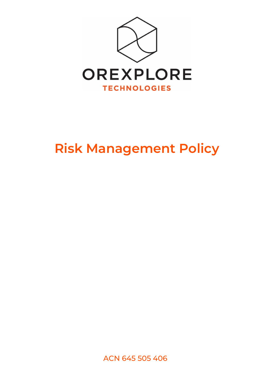

## **Risk Management Policy**

ACN 645 505 406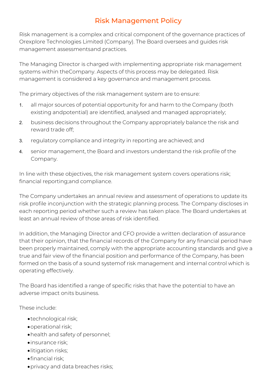## Risk Management Policy

Risk management is a complex and critical component of the governance practices of Orexplore Technologies Limited (Company). The Board oversees and guides risk management assessmentsand practices.

The Managing Director is charged with implementing appropriate risk management systems within theCompany. Aspects of this process may be delegated. Risk management is considered a key governance and management process.

The primary objectives of the risk management system are to ensure:

- 1. all major sources of potential opportunity for and harm to the Company (both existing andpotential) are identified, analysed and managed appropriately;
- 2. business decisions throughout the Company appropriately balance the risk and reward trade off;
- 3. regulatory compliance and integrity in reporting are achieved; and
- 4. senior management, the Board and investors understand the risk profile of the Company.

In line with these objectives, the risk management system covers operations risk; financial reporting;and compliance.

The Company undertakes an annual review and assessment of operations to update its risk profile inconjunction with the strategic planning process. The Company discloses in each reporting period whether such a review has taken place. The Board undertakes at least an annual review of those areas of risk identified.

In addition, the Managing Director and CFO provide a written declaration of assurance that their opinion, that the financial records of the Company for any financial period have been properly maintained, comply with the appropriate accounting standards and give a true and fair view of the financial position and performance of the Company, has been formed on the basis of a sound systemof risk management and internal control which is operating effectively.

The Board has identified a range of specific risks that have the potential to have an adverse impact onits business.

These include:

- •technological risk;
- •operational risk;
- •health and safety of personnel;
- •insurance risk;
- •litigation risks;
- •financial risk;
- •privacy and data breaches risks;